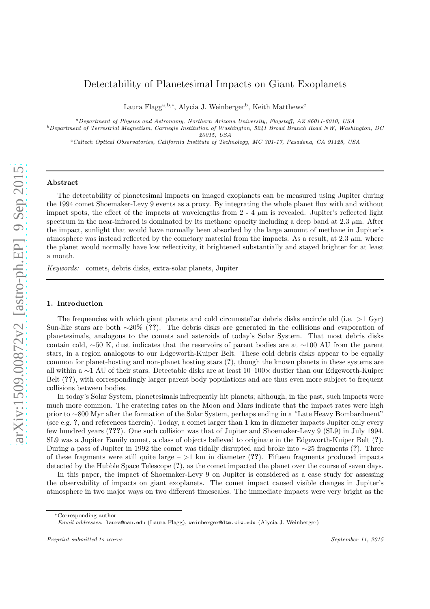# Detectability of Planetesimal Impacts on Giant Exoplanets

Laura Flagg<sup>a, b,\*</sup>, Alycia J. Weinberger<sup>b</sup>, Keith Matthews<sup>c</sup>

<sup>a</sup>Department of Physics and Astronomy, Northern Arizona University, Flagstaff, AZ 86011-6010, USA

 $^b$  Department of Terrestrial Magnetism, Carnegie Institution of Washington, 5241 Broad Branch Road NW, Washington, DC 20015, USA

<sup>c</sup>Caltech Optical Observatories, California Institute of Technology, MC 301-17, Pasadena, CA 91125, USA

#### Abstract

The detectability of planetesimal impacts on imaged exoplanets can be measured using Jupiter during the 1994 comet Shoemaker-Levy 9 events as a proxy. By integrating the whole planet flux with and without impact spots, the effect of the impacts at wavelengths from  $2 - 4 \mu m$  is revealed. Jupiter's reflected light spectrum in the near-infrared is dominated by its methane opacity including a deep band at  $2.3 \mu$ m. After the impact, sunlight that would have normally been absorbed by the large amount of methane in Jupiter's atmosphere was instead reflected by the cometary material from the impacts. As a result, at  $2.3 \mu m$ , where the planet would normally have low reflectivity, it brightened substantially and stayed brighter for at least a month.

*Keywords:* comets, debris disks, extra-solar planets, Jupiter

## 1. Introduction

The frequencies with which giant planets and cold circumstellar debris disks encircle old (i.e.  $>1$  Gyr) Sun-like stars are both ∼20% (??). The debris disks are generated in the collisions and evaporation of planetesimals, analogous to the comets and asteroids of today's Solar System. That most debris disks contain cold, ∼50 K, dust indicates that the reservoirs of parent bodies are at ∼100 AU from the parent stars, in a region analogous to our Edgeworth-Kuiper Belt. These cold debris disks appear to be equally common for planet-hosting and non-planet hosting stars (?), though the known planets in these systems are all within a ∼1 AU of their stars. Detectable disks are at least 10–100× dustier than our Edgeworth-Kuiper Belt (??), with correspondingly larger parent body populations and are thus even more subject to frequent collisions between bodies.

In today's Solar System, planetesimals infrequently hit planets; although, in the past, such impacts were much more common. The cratering rates on the Moon and Mars indicate that the impact rates were high prior to ∼800 Myr after the formation of the Solar System, perhaps ending in a "Late Heavy Bombardment" (see e.g. ?, and references therein). Today, a comet larger than 1 km in diameter impacts Jupiter only every few hundred years (???). One such collision was that of Jupiter and Shoemaker-Levy 9 (SL9) in July 1994. SL9 was a Jupiter Family comet, a class of objects believed to originate in the Edgeworth-Kuiper Belt (?). During a pass of Jupiter in 1992 the comet was tidally disrupted and broke into ∼25 fragments (?). Three of these fragments were still quite large  $-$  >1 km in diameter (??). Fifteen fragments produced impacts detected by the Hubble Space Telescope (?), as the comet impacted the planet over the course of seven days.

In this paper, the impact of Shoemaker-Levy 9 on Jupiter is considered as a case study for assessing the observability of impacts on giant exoplanets. The comet impact caused visible changes in Jupiter's atmosphere in two major ways on two different timescales. The immediate impacts were very bright as the

<sup>∗</sup>Corresponding author

Email addresses: laura@nau.edu (Laura Flagg), weinberger@dtm.ciw.edu (Alycia J. Weinberger)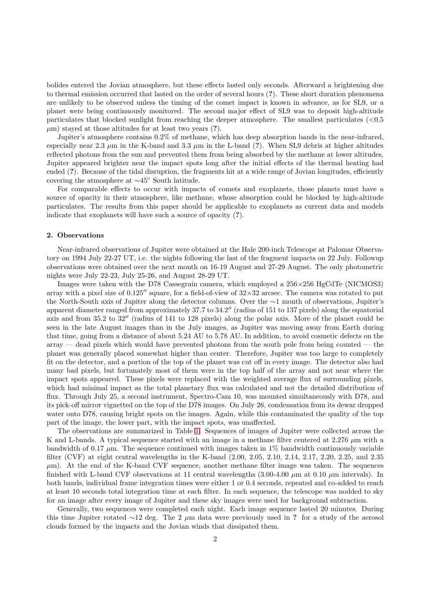bolides entered the Jovian atmosphere, but these effects lasted only seconds. Afterward a brightening due to thermal emission occurred that lasted on the order of several hours (?). These short duration phenomena are unlikely to be observed unless the timing of the comet impact is known in advance, as for SL9, or a planet were being continuously monitored. The second major effect of SL9 was to deposit high-altitude particulates that blocked sunlight from reaching the deeper atmosphere. The smallest particulates (<0.5  $\mu$ m) stayed at those altitudes for at least two years (?).

Jupiter's atmosphere contains 0.2% of methane, which has deep absorption bands in the near-infrared, especially near 2.3  $\mu$ m in the K-band and 3.3  $\mu$ m in the L-band (?). When SL9 debris at higher altitudes reflected photons from the sun and prevented them from being absorbed by the methane at lower altitudes, Jupiter appeared brighter near the impact spots long after the initial effects of the thermal heating had ended (?). Because of the tidal disruption, the fragments hit at a wide range of Jovian longitudes, efficiently covering the atmosphere at ∼45◦ South latitude.

For comparable effects to occur with impacts of comets and exoplanets, those planets must have a source of opacity in their atmosphere, like methane, whose absorption could be blocked by high-altitude particulates. The results from this paper should be applicable to exoplanets as current data and models indicate that exoplanets will have such a source of opacity (?).

# 2. Observations

Near-infrared observations of Jupiter were obtained at the Hale 200-inch Telescope at Palomar Observatory on 1994 July 22-27 UT, i.e. the nights following the last of the fragment impacts on 22 July. Followup observations were obtained over the next month on 16-19 August and 27-29 August. The only photometric nights were July 22-23, July 25-26, and August 28-29 UT.

Images were taken with the D78 Cassegrain camera, which employed a 256×256 HgCdTe (NICMOS3) array with a pixel size of  $0.125''$  square, for a field-of-view of  $32\times32$  arcsec. The camera was rotated to put the North-South axis of Jupiter along the detector columns. Over the ∼1 month of observations, Jupiter's apparent diameter ranged from approximately 37.7 to 34.2′′ (radius of 151 to 137 pixels) along the equatorial axis and from 35.2 to 32′′ (radius of 141 to 128 pixels) along the polar axis. More of the planet could be seen in the late August images than in the July images, as Jupiter was moving away from Earth during that time, going from a distance of about 5.24 AU to 5.78 AU. In addition, to avoid cosmetic defects on the  $\alpha$  array — dead pixels which would have prevented photons from the south pole from being counted — the planet was generally placed somewhat higher than center. Therefore, Jupiter was too large to completely fit on the detector, and a portion of the top of the planet was cut off in every image. The detector also had many bad pixels, but fortunately most of them were in the top half of the array and not near where the impact spots appeared. These pixels were replaced with the weighted average flux of surrounding pixels, which had minimal impact as the total planetary flux was calculated and not the detailed distribution of flux. Through July 25, a second instrument, Spectro-Cam 10, was mounted simultaneously with D78, and its pick-off mirror vignetted on the top of the D78 images. On July 26, condensation from its dewar dropped water onto D78, causing bright spots on the images. Again, while this contaminated the quality of the top part of the image, the lower part, with the impact spots, was unaffected.

The observations are summarized in Table [1.](#page-2-0) Sequences of images of Jupiter were collected across the K and L-bands. A typical sequence started with an image in a methane filter centered at 2.276  $\mu$ m with a bandwidth of 0.17  $\mu$ m. The sequence continued with images taken in 1% bandwidth continuously variable filter (CVF) at eight central wavelengths in the K-band (2.00, 2.05, 2.10, 2.14, 2.17, 2.20, 2.25, and 2.35  $\mu$ m). At the end of the K-band CVF sequence, another methane filter image was taken. The sequences finished with L-band CVF observations at 11 central wavelengths  $(3.00-4.00 \mu m \text{ at } 0.10 \mu m \text{ intervals})$ . In both bands, individual frame integration times were either 1 or 0.4 seconds, repeated and co-added to reach at least 10 seconds total integration time at each filter. In each sequence, the telescope was nodded to sky for an image after every image of Jupiter and these sky images were used for background subtraction.

Generally, two sequences were completed each night. Each image sequence lasted 20 minutes. During this time Jupiter rotated ∼12 deg. The 2  $\mu$ m data were previously used in ? for a study of the aerosol clouds formed by the impacts and the Jovian winds that dissipated them.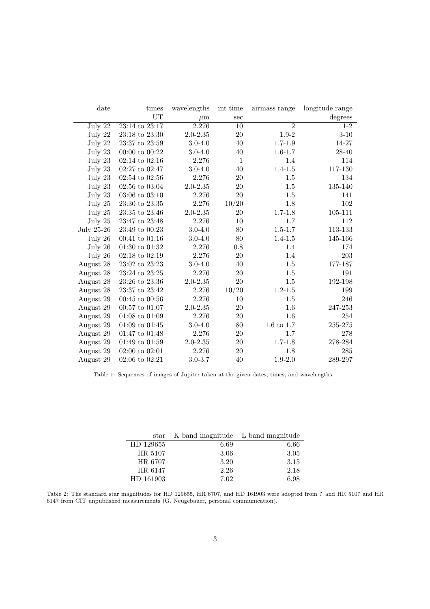| date       | times              | wavelengths  | int time     | airmass range  | longitude range |
|------------|--------------------|--------------|--------------|----------------|-----------------|
|            | UT                 | $\mu$ m      | sec          |                | degrees         |
| July 22    | 23:14 to 23:17     | 2.276        | 10           | $\overline{2}$ | $1-2$           |
| July 22    | 23:18 to 23:30     | $2.0 - 2.35$ | 20           | $1.9 - 2$      | $3 - 10$        |
| July 22    | 23:37 to 23:59     | $3.0 - 4.0$  | 40           | $1.7 - 1.9$    | 14-27           |
| July 23    | 00:00 to $00:22$   | $3.0 - 4.0$  | 40           | $1.6 - 1.7$    | 28-40           |
| July 23    | $02:14$ to $02:16$ | 2.276        | $\mathbf{1}$ | 1.4            | 114             |
| July 23    | 02:27 to 02:47     | $3.0 - 4.0$  | 40           | $1.4 - 1.5$    | 117-130         |
| July 23    | $02:54$ to $02:56$ | 2.276        | 20           | 1.5            | 134             |
| July 23    | $02:56$ to $03:04$ | $2.0 - 2.35$ | 20           | 1.5            | 135-140         |
| July 23    | $03:06$ to $03:10$ | 2.276        | 20           | 1.5            | 141             |
| July 25    | 23:30 to 23:35     | 2.276        | 10/20        | 1.8            | 102             |
| July 25    | 23:35 to 23:46     | 2.0-2.35     | 20           | $1.7 - 1.8$    | 105-111         |
| July 25    | 23:47 to 23:48     | 2.276        | 10           | 1.7            | 112             |
| July 25-26 | 23:49 to 00:23     | $3.0 - 4.0$  | 80           | $1.5 - 1.7$    | 113-133         |
| July 26    | $00:41$ to $01:16$ | $3.0 - 4.0$  | 80           | $1.4 - 1.5$    | 145-166         |
| July 26    | $01:30$ to $01:32$ | 2.276        | 0.8          | 1.4            | 174             |
| July 26    | $02:18$ to $02:19$ | 2.276        | 20           | 1.4            | 203             |
| August 28  | 23:02 to 23:23     | $3.0 - 4.0$  | 40           | $1.5\,$        | 177-187         |
| August 28  | 23:24 to 23:25     | 2.276        | 20           | 1.5            | 191             |
| August 28  | 23:26 to 23:36     | $2.0 - 2.35$ | 20           | 1.5            | 192-198         |
| August 28  | 23:37 to 23:42     | 2.276        | 10/20        | $1.2 - 1.5$    | 199             |
| August 29  | $00:45$ to $00:56$ | 2.276        | 10           | 1.5            | 246             |
| August 29  | $00:57$ to $01:07$ | $2.0 - 2.35$ | 20           | 1.6            | 247-253         |
| August 29  | $01:08$ to $01:09$ | 2.276        | 20           | 1.6            | 254             |
| August 29  | $01:09$ to $01:45$ | $3.0 - 4.0$  | 80           | 1.6 to 1.7     | 255-275         |
| August 29  | 01:47 to 01:48     | 2.276        | 20           | 1.7            | 278             |
| August 29  | $01:49$ to $01:59$ | $2.0 - 2.35$ | 20           | $1.7 - 1.8$    | 278-284         |
| August 29  | $02:00$ to $02:01$ | 2.276        | 20           | 1.8            | 285             |
| August 29  | $02:06$ to $02:21$ | $3.0 - 3.7$  | 40           | $1.9 - 2.0$    | 289-297         |

<span id="page-2-0"></span>Table 1: Sequences of images of Jupiter taken at the given dates, times, and wavelengths.

|           | star K band magnitude L band magnitude |      |
|-----------|----------------------------------------|------|
| HD 129655 | 6.69                                   | 6.66 |
| HR 5107   | 3.06                                   | 3.05 |
| HR 6707   | 3.20                                   | 3.15 |
| HR 6147   | 2.26                                   | 2.18 |
| HD 161903 | 7.02                                   | 6.98 |

Table 2: The standard star magnitudes for HD 129655, HR 6707, and HD 161903 were adopted from ? and HR 5107 and HR 6147 from CIT unpublished measurements (G. Neugebauer, personal communication).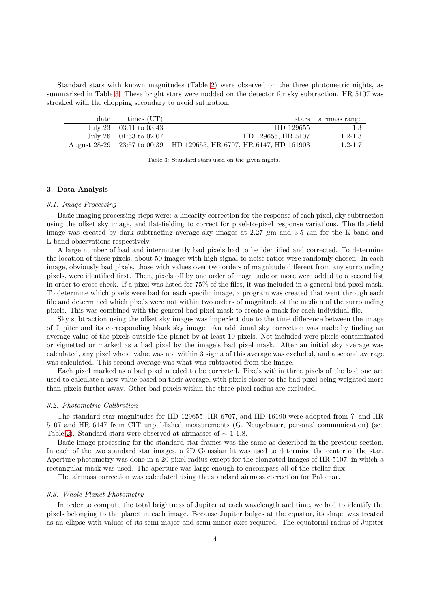Standard stars with known magnitudes (Table [2\)](#page-2-0) were observed on the three photometric nights, as summarized in Table [3.](#page-3-0) These bright stars were nodded on the detector for sky subtraction. HR 5107 was streaked with the chopping secondary to avoid saturation.

| date | times (UT)                 |                                                                    | stars airmass range |
|------|----------------------------|--------------------------------------------------------------------|---------------------|
|      | July 23 $03:11$ to $03:43$ | HD 129655                                                          | -1.3                |
|      | July 26 $01:33$ to 02:07   | HD 129655, HR 5107                                                 | $1.2 - 1.3$         |
|      |                            | August 28-29 23:57 to 00:39 HD 129655, HR 6707, HR 6147, HD 161903 | $1.2 - 1.7$         |

<span id="page-3-0"></span>Table 3: Standard stars used on the given nights.

## 3. Data Analysis

#### *3.1. Image Processing*

Basic imaging processing steps were: a linearity correction for the response of each pixel, sky subtraction using the offset sky image, and flat-fielding to correct for pixel-to-pixel response variations. The flat-field image was created by dark subtracting average sky images at 2.27  $\mu$ m and 3.5  $\mu$ m for the K-band and L-band observations respectively.

A large number of bad and intermittently bad pixels had to be identified and corrected. To determine the location of these pixels, about 50 images with high signal-to-noise ratios were randomly chosen. In each image, obviously bad pixels, those with values over two orders of magnitude different from any surrounding pixels, were identified first. Then, pixels off by one order of magnitude or more were added to a second list in order to cross check. If a pixel was listed for 75% of the files, it was included in a general bad pixel mask. To determine which pixels were bad for each specific image, a program was created that went through each file and determined which pixels were not within two orders of magnitude of the median of the surrounding pixels. This was combined with the general bad pixel mask to create a mask for each individual file.

Sky subtraction using the offset sky images was imperfect due to the time difference between the image of Jupiter and its corresponding blank sky image. An additional sky correction was made by finding an average value of the pixels outside the planet by at least 10 pixels. Not included were pixels contaminated or vignetted or marked as a bad pixel by the image's bad pixel mask. After an initial sky average was calculated, any pixel whose value was not within 3 sigma of this average was excluded, and a second average was calculated. This second average was what was subtracted from the image.

Each pixel marked as a bad pixel needed to be corrected. Pixels within three pixels of the bad one are used to calculate a new value based on their average, with pixels closer to the bad pixel being weighted more than pixels further away. Other bad pixels within the three pixel radius are excluded.

#### *3.2. Photometric Calibration*

The standard star magnitudes for HD 129655, HR 6707, and HD 16190 were adopted from ? and HR 5107 and HR 6147 from CIT unpublished measurements (G. Neugebauer, personal communication) (see Table [2\)](#page-2-0). Standard stars were observed at airmasses of  $\sim$  1-1.8.

Basic image processing for the standard star frames was the same as described in the previous section. In each of the two standard star images, a 2D Gaussian fit was used to determine the center of the star. Aperture photometry was done in a 20 pixel radius except for the elongated images of HR 5107, in which a rectangular mask was used. The aperture was large enough to encompass all of the stellar flux.

The airmass correction was calculated using the standard airmass correction for Palomar.

### *3.3. Whole Planet Photometry*

In order to compute the total brightness of Jupiter at each wavelength and time, we had to identify the pixels belonging to the planet in each image. Because Jupiter bulges at the equator, its shape was treated as an ellipse with values of its semi-major and semi-minor axes required. The equatorial radius of Jupiter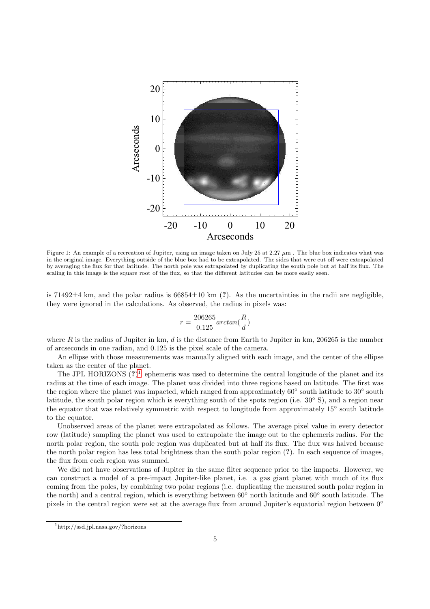

Figure 1: An example of a recreation of Jupiter, using an image taken on July 25 at 2.27  $\mu$ m. The blue box indicates what was in the original image. Everything outside of the blue box had to be extrapolated. The sides that were cut off were extrapolated by averaging the flux for that latitude. The north pole was extrapolated by duplicating the south pole but at half its flux. The scaling in this image is the square root of the flux, so that the different latitudes can be more easily seen.

is 71492 $\pm$ 4 km, and the polar radius is 66854 $\pm$ 10 km (?). As the uncertainties in the radii are negligible, they were ignored in the calculations. As observed, the radius in pixels was:

$$
r=\frac{206265}{0.125}arctan(\frac{R}{d})
$$

where R is the radius of Jupiter in km,  $d$  is the distance from Earth to Jupiter in km, 206265 is the number of arcseconds in one radian, and 0.125 is the pixel scale of the camera.

An ellipse with those measurements was manually aligned with each image, and the center of the ellipse taken as the center of the planet.

The JPL HORIZONS  $(?)^1$  $(?)^1$  ephemeris was used to determine the central longitude of the planet and its radius at the time of each image. The planet was divided into three regions based on latitude. The first was the region where the planet was impacted, which ranged from approximately 60° south latitude to 30° south latitude, the south polar region which is everything south of the spots region (i.e. 30◦ S), and a region near the equator that was relatively symmetric with respect to longitude from approximately 15◦ south latitude to the equator.

Unobserved areas of the planet were extrapolated as follows. The average pixel value in every detector row (latitude) sampling the planet was used to extrapolate the image out to the ephemeris radius. For the north polar region, the south pole region was duplicated but at half its flux. The flux was halved because the north polar region has less total brightness than the south polar region (?). In each sequence of images, the flux from each region was summed.

We did not have observations of Jupiter in the same filter sequence prior to the impacts. However, we can construct a model of a pre-impact Jupiter-like planet, i.e. a gas giant planet with much of its flux coming from the poles, by combining two polar regions (i.e. duplicating the measured south polar region in the north) and a central region, which is everything between 60◦ north latitude and 60◦ south latitude. The pixels in the central region were set at the average flux from around Jupiter's equatorial region between 0°

<span id="page-4-0"></span><sup>1</sup>http://ssd.jpl.nasa.gov/?horizons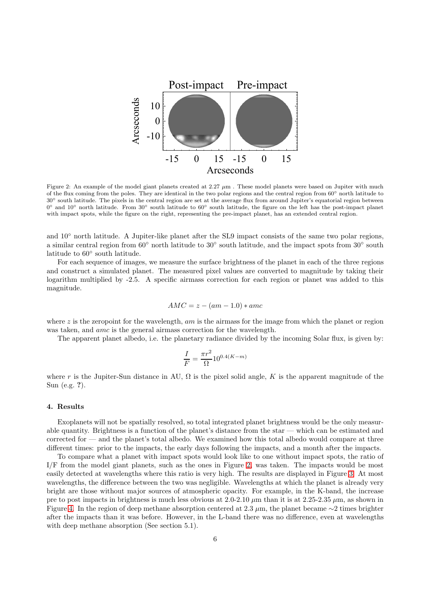

<span id="page-5-0"></span>Figure 2: An example of the model giant planets created at  $2.27 \mu m$ . These model planets were based on Jupiter with much of the flux coming from the poles. They are identical in the two polar regions and the central region from 60◦ north latitude to 30◦ south latitude. The pixels in the central region are set at the average flux from around Jupiter's equatorial region between 0° and 10° north latitude. From 30° south latitude to 60° south latitude, the figure on the left has the post-impact planet with impact spots, while the figure on the right, representing the pre-impact planet, has an extended central region.

and 10◦ north latitude. A Jupiter-like planet after the SL9 impact consists of the same two polar regions, a similar central region from 60° north latitude to 30° south latitude, and the impact spots from 30° south latitude to 60◦ south latitude.

For each sequence of images, we measure the surface brightness of the planet in each of the three regions and construct a simulated planet. The measured pixel values are converted to magnitude by taking their logarithm multiplied by -2.5. A specific airmass correction for each region or planet was added to this magnitude.

$$
AMC = z - (am - 1.0) * amc
$$

where  $z$  is the zeropoint for the wavelength,  $am$  is the airmass for the image from which the planet or region was taken, and *amc* is the general airmass correction for the wavelength.

The apparent planet albedo, i.e. the planetary radiance divided by the incoming Solar flux, is given by:

$$
\frac{I}{F} = \frac{\pi r^2}{\Omega} 10^{0.4(K-m)}
$$

where r is the Jupiter-Sun distance in AU,  $\Omega$  is the pixel solid angle, K is the apparent magnitude of the Sun (e.g. ?).

# 4. Results

Exoplanets will not be spatially resolved, so total integrated planet brightness would be the only measurable quantity. Brightness is a function of the planet's distance from the star — which can be estimated and corrected for — and the planet's total albedo. We examined how this total albedo would compare at three different times: prior to the impacts, the early days following the impacts, and a month after the impacts.

To compare what a planet with impact spots would look like to one without impact spots, the ratio of I/F from the model giant planets, such as the ones in Figure [2,](#page-5-0) was taken. The impacts would be most easily detected at wavelengths where this ratio is very high. The results are displayed in Figure [3.](#page-6-0) At most wavelengths, the difference between the two was negligible. Wavelengths at which the planet is already very bright are those without major sources of atmospheric opacity. For example, in the K-band, the increase pre to post impacts in brightness is much less obvious at  $2.0-2.10 \mu m$  than it is at  $2.25-2.35 \mu m$ , as shown in Figure [4.](#page-6-1) In the region of deep methane absorption centered at 2.3  $\mu$ m, the planet became ∼2 times brighter after the impacts than it was before. However, in the L-band there was no difference, even at wavelengths with deep methane absorption (See section 5.1).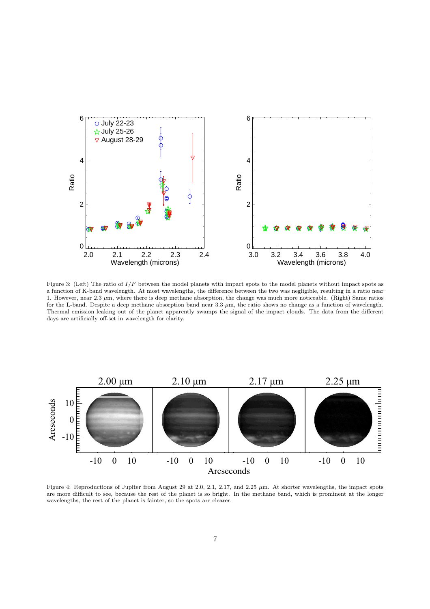

<span id="page-6-0"></span>Figure 3: (Left) The ratio of  $I/F$  between the model planets with impact spots to the model planets without impact spots as a function of K-band wavelength. At most wavelengths, the difference between the two was negligible, resulting in a ratio near 1. However, near 2.3 µm, where there is deep methane absorption, the change was much more noticeable. (Right) Same ratios for the L-band. Despite a deep methane absorption band near  $3.3 \mu m$ , the ratio shows no change as a function of wavelength. Thermal emission leaking out of the planet apparently swamps the signal of the impact clouds. The data from the different days are artificially off-set in wavelength for clarity.



<span id="page-6-1"></span>Figure 4: Reproductions of Jupiter from August 29 at 2.0, 2.1, 2.17, and 2.25  $\mu$ m. At shorter wavelengths, the impact spots are more difficult to see, because the rest of the planet is so bright. In the methane band, which is prominent at the longer wavelengths, the rest of the planet is fainter, so the spots are clearer.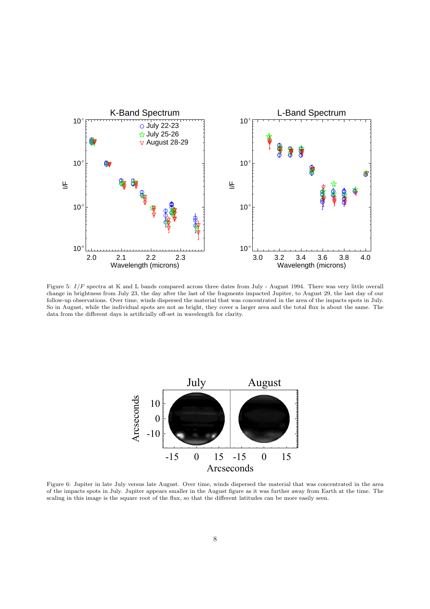

<span id="page-7-0"></span>Figure 5:  $I/F$  spectra at K and L bands compared across three dates from July - August 1994. There was very little overall change in brightness from July 23, the day after the last of the fragments impacted Jupiter, to August 29, the last day of our follow-up observations. Over time, winds dispersed the material that was concentrated in the area of the impacts spots in July. So in August, while the individual spots are not as bright, they cover a larger area and the total flux is about the same. The data from the different days is artificially off-set in wavelength for clarity.



<span id="page-7-1"></span>Figure 6: Jupiter in late July versus late August. Over time, winds dispersed the material that was concentrated in the area of the impacts spots in July. Jupiter appears smaller in the August figure as it was further away from Earth at the time. The scaling in this image is the square root of the flux, so that the different latitudes can be more easily seen.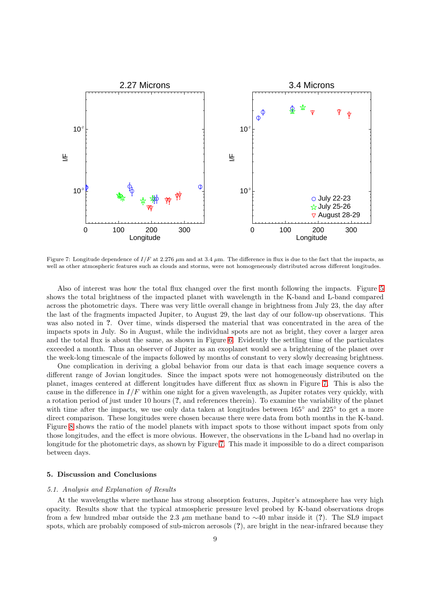

<span id="page-8-0"></span>Figure 7: Longitude dependence of  $I/F$  at 2.276  $\mu$ m and at 3.4  $\mu$ m. The difference in flux is due to the fact that the impacts, as well as other atmospheric features such as clouds and storms, were not homogeneously distributed across different longitudes.

Also of interest was how the total flux changed over the first month following the impacts. Figure [5](#page-7-0) shows the total brightness of the impacted planet with wavelength in the K-band and L-band compared across the photometric days. There was very little overall change in brightness from July 23, the day after the last of the fragments impacted Jupiter, to August 29, the last day of our follow-up observations. This was also noted in ?. Over time, winds dispersed the material that was concentrated in the area of the impacts spots in July. So in August, while the individual spots are not as bright, they cover a larger area and the total flux is about the same, as shown in Figure [6.](#page-7-1) Evidently the settling time of the particulates exceeded a month. Thus an observer of Jupiter as an exoplanet would see a brightening of the planet over the week-long timescale of the impacts followed by months of constant to very slowly decreasing brightness.

One complication in deriving a global behavior from our data is that each image sequence covers a different range of Jovian longitudes. Since the impact spots were not homogeneously distributed on the planet, images centered at different longitudes have different flux as shown in Figure [7.](#page-8-0) This is also the cause in the difference in  $I/F$  within one night for a given wavelength, as Jupiter rotates very quickly, with a rotation period of just under 10 hours (?, and references therein). To examine the variability of the planet with time after the impacts, we use only data taken at longitudes between 165° and 225° to get a more direct comparison. These longitudes were chosen because there were data from both months in the K-band. Figure [8](#page-9-0) shows the ratio of the model planets with impact spots to those without impact spots from only those longitudes, and the effect is more obvious. However, the observations in the L-band had no overlap in longitude for the photometric days, as shown by Figure [7.](#page-8-0) This made it impossible to do a direct comparison between days.

#### 5. Discussion and Conclusions

## *5.1. Analysis and Explanation of Results*

At the wavelengths where methane has strong absorption features, Jupiter's atmosphere has very high opacity. Results show that the typical atmospheric pressure level probed by K-band observations drops from a few hundred mbar outside the 2.3  $\mu$ m methane band to ∼40 mbar inside it (?). The SL9 impact spots, which are probably composed of sub-micron aerosols (?), are bright in the near-infrared because they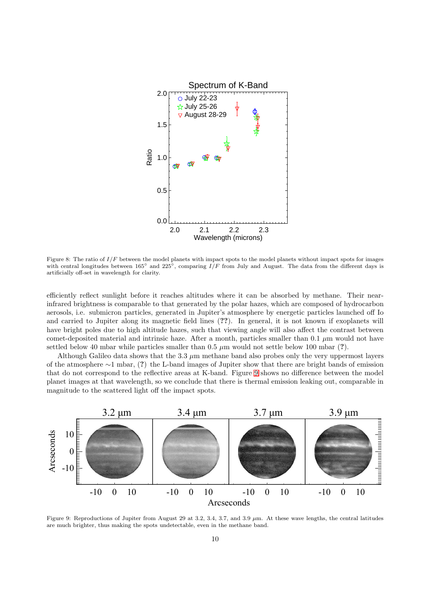

<span id="page-9-0"></span>Figure 8: The ratio of  $I/F$  between the model planets with impact spots to the model planets without impact spots for images with central longitudes between 165° and 225°, comparing  $I/F$  from July and August. The data from the different days is artificially off-set in wavelength for clarity.

efficiently reflect sunlight before it reaches altitudes where it can be absorbed by methane. Their nearinfrared brightness is comparable to that generated by the polar hazes, which are composed of hydrocarbon aerosols, i.e. submicron particles, generated in Jupiter's atmosphere by energetic particles launched off Io and carried to Jupiter along its magnetic field lines (??). In general, it is not known if exoplanets will have bright poles due to high altitude hazes, such that viewing angle will also affect the contrast between comet-deposited material and intrinsic haze. After a month, particles smaller than 0.1  $\mu$ m would not have settled below 40 mbar while particles smaller than  $0.5 \mu m$  would not settle below 100 mbar (?).

Although Galileo data shows that the  $3.3 \mu m$  methane band also probes only the very uppermost layers of the atmosphere ∼1 mbar, (?) the L-band images of Jupiter show that there are bright bands of emission that do not correspond to the reflective areas at K-band. Figure [9](#page-9-1) shows no difference between the model planet images at that wavelength, so we conclude that there is thermal emission leaking out, comparable in magnitude to the scattered light off the impact spots.



<span id="page-9-1"></span>Figure 9: Reproductions of Jupiter from August 29 at 3.2, 3.4, 3.7, and 3.9  $\mu$ m. At these wave lengths, the central latitudes are much brighter, thus making the spots undetectable, even in the methane band.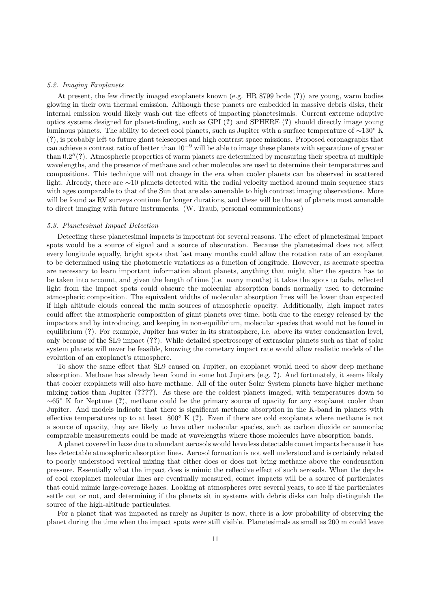#### *5.2. Imaging Exoplanets*

At present, the few directly imaged exoplanets known (e.g. HR 8799 bcde (?)) are young, warm bodies glowing in their own thermal emission. Although these planets are embedded in massive debris disks, their internal emission would likely wash out the effects of impacting planetesimals. Current extreme adaptive optics systems designed for planet-finding, such as GPI (?) and SPHERE (?) should directly image young luminous planets. The ability to detect cool planets, such as Jupiter with a surface temperature of ∼130◦ K (?), is probably left to future giant telescopes and high contrast space missions. Proposed coronagraphs that can achieve a contrast ratio of better than  $10^{-9}$  will be able to image these planets with separations of greater than 0.2′′(?). Atmospheric properties of warm planets are determined by measuring their spectra at multiple wavelengths, and the presence of methane and other molecules are used to determine their temperatures and compositions. This technique will not change in the era when cooler planets can be observed in scattered light. Already, there are ∼10 planets detected with the radial velocity method around main sequence stars with ages comparable to that of the Sun that are also amenable to high contrast imaging observations. More will be found as RV surveys continue for longer durations, and these will be the set of planets most amenable to direct imaging with future instruments. (W. Traub, personal communications)

## *5.3. Planetesimal Impact Detection*

Detecting these planetesimal impacts is important for several reasons. The effect of planetesimal impact spots would be a source of signal and a source of obscuration. Because the planetesimal does not affect every longitude equally, bright spots that last many months could allow the rotation rate of an exoplanet to be determined using the photometric variations as a function of longitude. However, as accurate spectra are necessary to learn important information about planets, anything that might alter the spectra has to be taken into account, and given the length of time (i.e. many months) it takes the spots to fade, reflected light from the impact spots could obscure the molecular absorption bands normally used to determine atmospheric composition. The equivalent widths of molecular absorption lines will be lower than expected if high altitude clouds conceal the main sources of atmospheric opacity. Additionally, high impact rates could affect the atmospheric composition of giant planets over time, both due to the energy released by the impactors and by introducing, and keeping in non-equilibrium, molecular species that would not be found in equilibrium (?). For example, Jupiter has water in its stratosphere, i.e. above its water condensation level, only because of the SL9 impact (??). While detailed spectroscopy of extrasolar planets such as that of solar system planets will never be feasible, knowing the cometary impact rate would allow realistic models of the evolution of an exoplanet's atmosphere.

To show the same effect that SL9 caused on Jupiter, an exoplanet would need to show deep methane absorption. Methane has already been found in some hot Jupiters (e.g. ?). And fortunately, it seems likely that cooler exoplanets will also have methane. All of the outer Solar System planets have higher methane mixing ratios than Jupiter (????). As these are the coldest planets imaged, with temperatures down to  $~\sim 65$ ° K for Neptune (?), methane could be the primary source of opacity for any exoplanet cooler than Jupiter. And models indicate that there is significant methane absorption in the K-band in planets with effective temperatures up to at least  $800°$  K (?). Even if there are cold exoplanets where methane is not a source of opacity, they are likely to have other molecular species, such as carbon dioxide or ammonia; comparable measurements could be made at wavelengths where those molecules have absorption bands.

A planet covered in haze due to abundant aerosols would have less detectable comet impacts because it has less detectable atmospheric absorption lines. Aerosol formation is not well understood and is certainly related to poorly understood vertical mixing that either does or does not bring methane above the condensation pressure. Essentially what the impact does is mimic the reflective effect of such aerosols. When the depths of cool exoplanet molecular lines are eventually measured, comet impacts will be a source of particulates that could mimic large-coverage hazes. Looking at atmospheres over several years, to see if the particulates settle out or not, and determining if the planets sit in systems with debris disks can help distinguish the source of the high-altitude particulates.

For a planet that was impacted as rarely as Jupiter is now, there is a low probability of observing the planet during the time when the impact spots were still visible. Planetesimals as small as 200 m could leave